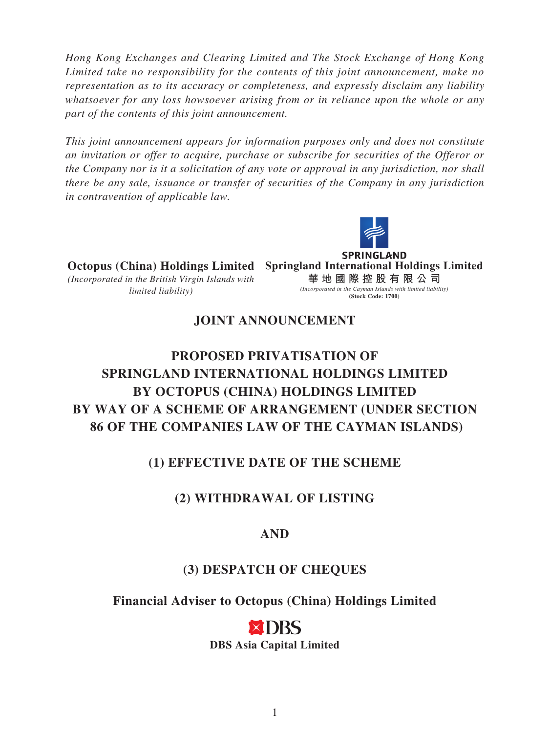*Hong Kong Exchanges and Clearing Limited and The Stock Exchange of Hong Kong Limited take no responsibility for the contents of this joint announcement, make no representation as to its accuracy or completeness, and expressly disclaim any liability whatsoever for any loss howsoever arising from or in reliance upon the whole or any part of the contents of this joint announcement.*

*This joint announcement appears for information purposes only and does not constitute an invitation or offer to acquire, purchase or subscribe for securities of the Offeror or the Company nor is it a solicitation of any vote or approval in any jurisdiction, nor shall there be any sale, issuance or transfer of securities of the Company in any jurisdiction in contravention of applicable law.*



**SPRINGLAND Octopus (China) Holdings Limited Springland International Holdings Limited** *(Incorporated in the British Virgin Islands with*  **華地國際控股有限公 司** *(Incorporated in the Cayman Islands with limited liability) limited liability)* **(Stock Code: 1700)**

# **JOINT ANNOUNCEMENT**

# **PROPOSED PRIVATISATION OF SPRINGLAND INTERNATIONAL HOLDINGS LIMITED BY OCTOPUS (CHINA) HOLDINGS LIMITED BY WAY OF A SCHEME OF ARRANGEMENT (UNDER SECTION 86 OF THE COMPANIES LAW OF THE CAYMAN ISLANDS)**

## **(1) EFFECTIVE DATE OF THE SCHEME**

## **(2) WITHDRAWAL OF LISTING**

#### **AND**

#### **(3) DESPATCH OF CHEQUES**

**Financial Adviser to Octopus (China) Holdings Limited**

)RS **DBS Asia Capital Limited**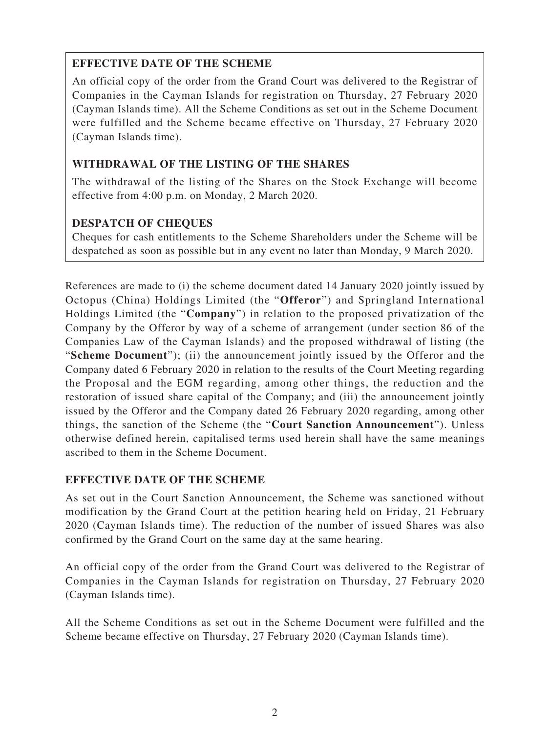### **EFFECTIVE DATE OF THE SCHEME**

An official copy of the order from the Grand Court was delivered to the Registrar of Companies in the Cayman Islands for registration on Thursday, 27 February 2020 (Cayman Islands time). All the Scheme Conditions as set out in the Scheme Document were fulfilled and the Scheme became effective on Thursday, 27 February 2020 (Cayman Islands time).

### **WITHDRAWAL OF THE LISTING OF THE SHARES**

The withdrawal of the listing of the Shares on the Stock Exchange will become effective from 4:00 p.m. on Monday, 2 March 2020.

## **DESPATCH OF CHEQUES**

Cheques for cash entitlements to the Scheme Shareholders under the Scheme will be despatched as soon as possible but in any event no later than Monday, 9 March 2020.

References are made to (i) the scheme document dated 14 January 2020 jointly issued by Octopus (China) Holdings Limited (the "**Offeror**") and Springland International Holdings Limited (the "**Company**") in relation to the proposed privatization of the Company by the Offeror by way of a scheme of arrangement (under section 86 of the Companies Law of the Cayman Islands) and the proposed withdrawal of listing (the "**Scheme Document**"); (ii) the announcement jointly issued by the Offeror and the Company dated 6 February 2020 in relation to the results of the Court Meeting regarding the Proposal and the EGM regarding, among other things, the reduction and the restoration of issued share capital of the Company; and (iii) the announcement jointly issued by the Offeror and the Company dated 26 February 2020 regarding, among other things, the sanction of the Scheme (the "**Court Sanction Announcement**"). Unless otherwise defined herein, capitalised terms used herein shall have the same meanings ascribed to them in the Scheme Document.

#### **EFFECTIVE DATE OF THE SCHEME**

As set out in the Court Sanction Announcement, the Scheme was sanctioned without modification by the Grand Court at the petition hearing held on Friday, 21 February 2020 (Cayman Islands time). The reduction of the number of issued Shares was also confirmed by the Grand Court on the same day at the same hearing.

An official copy of the order from the Grand Court was delivered to the Registrar of Companies in the Cayman Islands for registration on Thursday, 27 February 2020 (Cayman Islands time).

All the Scheme Conditions as set out in the Scheme Document were fulfilled and the Scheme became effective on Thursday, 27 February 2020 (Cayman Islands time).